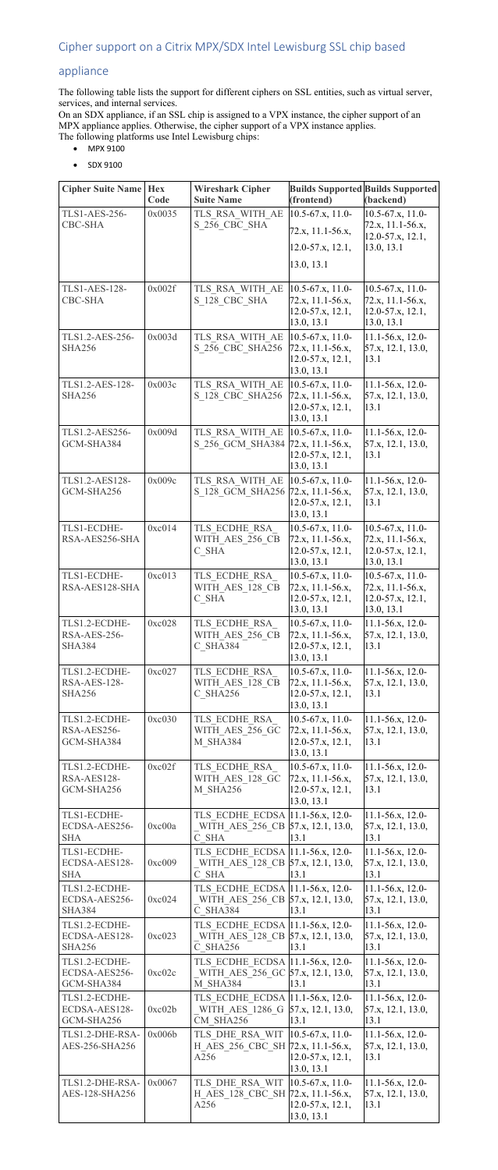## appliance

The following table lists the support for different ciphers on SSL entities, such as virtual server, services, and internal services.

On an SDX appliance, if an SSL chip is assigned to a VPX instance, the cipher support of an MPX appliance applies. Otherwise, the cipher support of a VPX instance applies. The following platforms use Intel Lewisburg chips:

- MPX 9100
- SDX 9100

| <b>Cipher Suite Name</b>          | <b>Hex</b>     | <b>Wireshark Cipher</b>                              |                                           | <b>Builds Supported Builds Supported</b>   |
|-----------------------------------|----------------|------------------------------------------------------|-------------------------------------------|--------------------------------------------|
| <b>TLS1-AES-256-</b>              | Code<br>0x0035 | <b>Suite Name</b><br>TLS RSA WITH AE                 | (frontend)<br>$10.5-67.x$ , 11.0-         | (backend)<br>$10.5-67.x$ , 11.0-           |
| <b>CBC-SHA</b>                    |                | S_256_CBC_SHA                                        | 72.x, 11.1-56.x,                          | 72.x, 11.1-56.x,                           |
|                                   |                |                                                      |                                           | 12.0-57.x, 12.1,                           |
|                                   |                |                                                      | $12.0 - 57.x$ , 12.1,                     | 13.0, 13.1                                 |
|                                   |                |                                                      | 13.0, 13.1                                |                                            |
| <b>TLS1-AES-128-</b>              | 0x002f         | TLS RSA WITH AE                                      | $10.5 - 67.x$ , 11.0-                     | $10.5 - 67.x$ , 11.0-                      |
| <b>CBC-SHA</b>                    |                | S 128 CBC SHA                                        | 72.x, 11.1-56.x,                          | 72.x, 11.1-56.x,                           |
|                                   |                |                                                      | $12.0 - 57.x, 12.1,$<br>13.0, 13.1        | $12.0 - 57.x, 12.1,$<br>13.0, 13.1         |
| TLS1.2-AES-256-                   | 0x003d         | TLS RSA WITH AE                                      | $10.5-67.x$ , 11.0-                       | $11.1 - 56.x, 12.0 -$                      |
| <b>SHA256</b>                     |                | S 256 CBC SHA256                                     | 72.x, 11.1-56.x,                          | 57.x, 12.1, 13.0,                          |
|                                   |                |                                                      | 12.0-57.x, 12.1,                          | 13.1                                       |
| TLS1.2-AES-128-                   | 0x003c         | TLS RSA WITH AE                                      | 13.0, 13.1<br>$10.5 - 67.x$ , 11.0-       | 11.1-56.x, 12.0-                           |
| <b>SHA256</b>                     |                | S 128 CBC SHA256                                     | 72.x, 11.1-56.x,                          | 57.x, 12.1, 13.0,                          |
|                                   |                |                                                      | $12.0 - 57.x, 12.1,$                      | 13.1                                       |
| TLS1.2-AES256-                    | 0x009d         | TLS RSA WITH AE                                      | 13.0, 13.1<br>$10.5 - 67.x$ , 11.0-       | 11.1-56.x, 12.0-                           |
| GCM-SHA384                        |                | S 256 GCM SHA384                                     | 72.x, 11.1-56.x,                          | 57.x, 12.1, 13.0,                          |
|                                   |                |                                                      | $12.0 - 57.x, 12.1,$                      | 13.1                                       |
|                                   |                |                                                      | 13.0, 13.1                                |                                            |
| TLS1.2-AES128-<br>GCM-SHA256      | 0x009c         | TLS RSA WITH AE<br>S 128 GCM SHA256                  | $10.5-67.x$ , 11.0-<br>72.x, 11.1-56.x,   | 11.1-56.x, 12.0-<br>57.x, 12.1, 13.0,      |
|                                   |                |                                                      | 12.0-57.x, 12.1,                          | 13.1                                       |
|                                   |                |                                                      | 13.0, 13.1                                |                                            |
| TLS1-ECDHE-<br>RSA-AES256-SHA     | 0xc014         | TLS ECDHE RSA<br>WITH AES 256 CB                     | $10.5 - 67.x$ , 11.0-<br>72.x, 11.1-56.x, | $10.5-67.x$ , 11.0-<br>72.x, 11.1-56.x,    |
|                                   |                | C SHA                                                | 12.0-57.x, 12.1,                          | $12.0 - 57.x, 12.1,$                       |
|                                   |                |                                                      | 13.0, 13.1                                | 13.0, 13.1                                 |
| TLS1-ECDHE-<br>RSA-AES128-SHA     | 0xc013         | TLS ECDHE RSA<br>WITH AES 128 CB                     | $10.5 - 67.x$ , 11.0-<br>72.x, 11.1-56.x, | $10.5-67.x$ , 11.0-<br>72.x, 11.1-56.x,    |
|                                   |                | C SHA                                                | $12.0 - 57.x$ , 12.1,                     | $12.0 - 57.x, 12.1,$                       |
|                                   |                |                                                      | 13.0, 13.1                                | 13.0, 13.1                                 |
| TLS1.2-ECDHE-<br>RSA-AES-256-     | 0xc028         | TLS ECDHE RSA<br>WITH AES 256 CB                     | $10.5 - 67.x$ , 11.0-<br>72.x, 11.1-56.x, | 11.1-56.x, 12.0-<br>57.x, 12.1, 13.0,      |
| <b>SHA384</b>                     |                | C SHA384                                             | $12.0 - 57.x, 12.1,$                      | 13.1                                       |
|                                   |                |                                                      | 13.0, 13.1                                |                                            |
| TLS1.2-ECDHE-<br>RSA-AES-128-     | 0xc027         | TLS ECDHE RSA<br>WITH AES 128 CB                     | $10.5 - 67.x$ , 11.0-<br>72.x, 11.1-56.x, | $11.1 - 56.x, 12.0 -$                      |
| <b>SHA256</b>                     |                | C SHA256                                             | $12.0 - 57.x, 12.1,$                      | 57.x, 12.1, 13.0,<br>13.1                  |
|                                   |                |                                                      | 13.0, 13.1                                |                                            |
| TLS1.2-ECDHE-                     | 0xc030         | TLS ECDHE RSA                                        | $10.5 - 67.x$ , 11.0-                     | $11.1 - 56.x$ , 12.0-                      |
| RSA-AES256-<br>GCM-SHA384         |                | WITH AES 256 GC<br><b>M SHA384</b>                   | 72.x, 11.1-56.x,<br>$12.0 - 57.x, 12.1,$  | 57.x, 12.1, 13.0,<br>13.1                  |
|                                   |                |                                                      | 13.0, 13.1                                |                                            |
| TLS1.2-ECDHE-                     | 0xc02f         | TLS ECDHE RSA                                        | $10.5 - 67.x$ , 11.0-                     | $11.1 - 56.x$ , 12.0-                      |
| RSA-AES128-<br>GCM-SHA256         |                | WITH_AES_128_GC<br>M SHA256                          | 72.x, 11.1-56.x,<br>$12.0 - 57.x, 12.1,$  | 57.x, 12.1, 13.0,<br>13.1                  |
|                                   |                |                                                      | 13.0, 13.1                                |                                            |
| TLS1-ECDHE-                       |                | TLS ECDHE ECDSA  11.1-56.x, 12.0-                    |                                           | $11.1 - 56.x, 12.0 -$                      |
| ECDSA-AES256-<br><b>SHA</b>       | 0xc00a         | WITH AES 256 CB 57.x, 12.1, 13.0,<br>C SHA           | 13.1                                      | 57.x, 12.1, 13.0,<br>13.1                  |
| TLS1-ECDHE-                       |                | TLS ECDHE ECDSA 11.1-56.x, 12.0-                     |                                           | 11.1-56.x, 12.0-                           |
| ECDSA-AES128-                     | 0xc009         | WITH AES 128 CB 57.x, 12.1, 13.0,                    |                                           | 57.x, 12.1, 13.0,                          |
| <b>SHA</b><br>TLS1.2-ECDHE-       |                | C SHA<br>TLS ECDHE ECDSA 11.1-56.x, 12.0-            | 13.1                                      | 13.1<br>$11.1 - 56.x$ , 12.0-              |
| ECDSA-AES256-                     | 0xc024         | WITH AES 256 CB 57.x, 12.1, 13.0,                    |                                           | 57.x, 12.1, 13.0,                          |
| <b>SHA384</b>                     |                | C SHA384                                             | 13.1                                      | 13.1                                       |
| TLS1.2-ECDHE-<br>ECDSA-AES128-    |                | TLS ECDHE ECDSA 11.1-56.x, 12.0-                     |                                           | $11.1 - 56.x, 12.0 -$                      |
| <b>SHA256</b>                     | 0xc023         | WITH AES 128 CB 57.x, 12.1, 13.0,<br>C SHA256        | 13.1                                      | 57.x, 12.1, 13.0,<br>13.1                  |
| TLS1.2-ECDHE-                     |                | TLS ECDHE ECDSA 11.1-56.x, 12.0-                     |                                           | $11.1 - 56.x$ , 12.0-                      |
| ECDSA-AES256-                     | 0xc02c         | WITH AES 256 GC 57.x, 12.1, 13.0,                    |                                           | 57.x, 12.1, 13.0,                          |
| GCM-SHA384<br>TLS1.2-ECDHE-       |                | <b>M SHA384</b><br>TLS ECDHE ECDSA 11.1-56.x, 12.0-  | 13.1                                      | 13.1<br>$11.1 - 56.x, 12.0 -$              |
| ECDSA-AES128-                     | 0xc02b         | WITH AES 1286 G 57.x, 12.1, 13.0,                    |                                           | 57.x, 12.1, 13.0,                          |
| GCM-SHA256                        |                | CM SHA256                                            | 13.1                                      | 13.1                                       |
| TLS1.2-DHE-RSA-<br>AES-256-SHA256 | 0x006b         | TLS DHE RSA WIT<br>H AES 256 CBC SH 72.x, 11.1-56.x, | $10.5-67.x$ , 11.0-                       | $11.1 - 56.x, 12.0 -$<br>57.x, 12.1, 13.0, |
|                                   |                | A256                                                 | $12.0 - 57.x$ , 12.1,                     | 13.1                                       |
|                                   |                |                                                      | 13.0, 13.1                                |                                            |
| TLS1.2-DHE-RSA-<br>AES-128-SHA256 | 0x0067         | TLS DHE RSA WIT<br>H AES 128 CBC SH 72.x, 11.1-56.x, | $10.5-67.x$ , 11.0-                       | $11.1 - 56.x, 12.0 -$<br>57.x, 12.1, 13.0, |
|                                   |                | A256                                                 | 12.0-57.x, 12.1,                          | 13.1                                       |
|                                   |                |                                                      | 13.0, 13.1                                |                                            |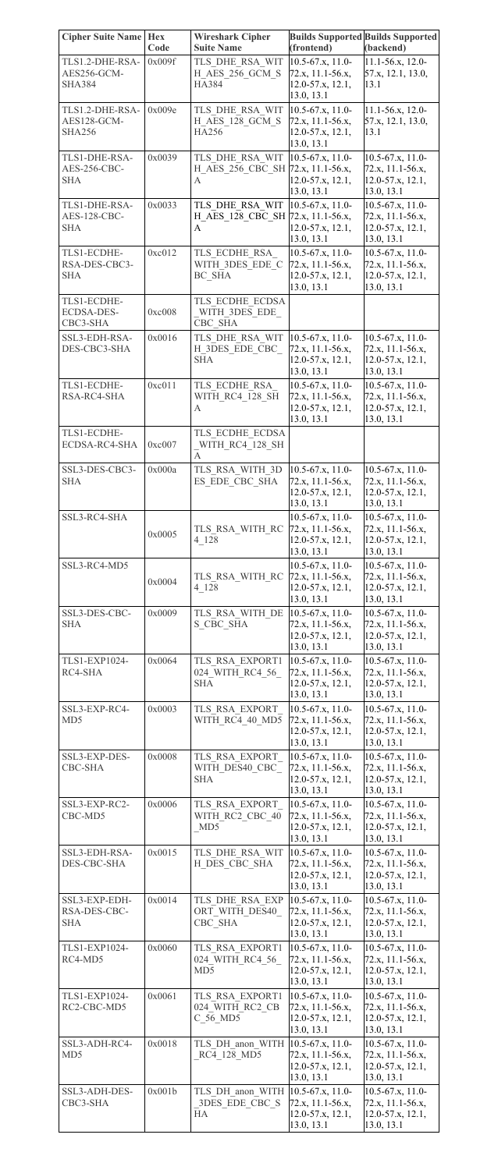| <b>Cipher Suite Name</b>                        | <b>Hex</b> | <b>Wireshark Cipher</b>                     |                                                               | <b>Builds Supported Builds Supported</b>           |
|-------------------------------------------------|------------|---------------------------------------------|---------------------------------------------------------------|----------------------------------------------------|
|                                                 | Code       | <b>Suite Name</b>                           | (frontend)                                                    | (backend)                                          |
| TLS1.2-DHE-RSA-<br>AES256-GCM-<br><b>SHA384</b> | 0x009f     | TLS DHE RSA WIT<br>H AES 256 GCM S<br>HA384 | $10.5 - 67.x$ , 11.0-<br>72.x, 11.1-56.x,<br>12.0-57.x, 12.1, | $11.1 - 56.x, 12.0 -$<br>57.x, 12.1, 13.0,<br>13.1 |
| TLS1.2-DHE-RSA-                                 | 0x009e     | TLS DHE RSA WIT                             | 13.0, 13.1<br>$10.5 - 67.x$ , 11.0-                           | $11.1 - 56.x, 12.0 -$                              |
| AES128-GCM-<br><b>SHA256</b>                    |            | H AES 128 GCM S<br><b>HA256</b>             | 72.x, 11.1-56.x,<br>12.0-57.x, 12.1,<br>13.0, 13.1            | 57.x, 12.1, 13.0,<br>13.1                          |
| TLS1-DHE-RSA-                                   | 0x0039     | TLS DHE RSA WIT 10.5-67.x, 11.0-            |                                                               | $10.5 - 67.x$ , 11.0-                              |
| AES-256-CBC-                                    |            | H AES 256 CBC SH 72.x, 11.1-56.x,           |                                                               | $72.x, 11.1-56.x,$                                 |
| <b>SHA</b>                                      |            | A                                           | 12.0-57.x, 12.1,<br>13.0, 13.1                                | $12.0 - 57.x, 12.1,$<br>13.0, 13.1                 |
| TLS1-DHE-RSA-                                   | 0x0033     | TLS DHE RSA WIT                             | $10.5 - 67.x$ , 11.0-                                         | $10.5 - 67.x$ , 11.0-                              |
| AES-128-CBC-<br><b>SHA</b>                      |            | H AES 128 CBC SH 72.x, 11.1-56.x,<br>A      | 12.0-57.x, 12.1,                                              | $72.x, 11.1-56.x,$<br>$12.0 - 57.x, 12.1,$         |
|                                                 |            |                                             | 13.0, 13.1                                                    | 13.0, 13.1                                         |
| TLS1-ECDHE-                                     | 0xc012     | TLS ECDHE RSA                               | $10.5-67.x$ , 11.0-                                           | $10.5 - 67.x$ , 11.0-                              |
| RSA-DES-CBC3-<br><b>SHA</b>                     |            | WITH 3DES EDE C<br>BC SHA                   | 72.x, 11.1-56.x,<br>12.0-57.x, 12.1,                          | 72.x, 11.1-56.x,<br>12.0-57.x, 12.1,               |
|                                                 |            |                                             | 13.0, 13.1                                                    | 13.0, 13.1                                         |
| TLS1-ECDHE-<br><b>ECDSA-DES-</b>                | 0xc008     | TLS ECDHE ECDSA<br>WITH 3DES EDE            |                                                               |                                                    |
| CBC3-SHA                                        |            | CBC SHA                                     |                                                               |                                                    |
| SSL3-EDH-RSA-<br>DES-CBC3-SHA                   | 0x0016     | TLS DHE RSA WIT<br>H 3DES EDE CBC           | $10.5 - 67.x$ , 11.0-<br>72.x, 11.1-56.x,                     | $10.5 - 67.x$ , 11.0-<br>72.x, 11.1-56.x,          |
|                                                 |            | <b>SHA</b>                                  | 12.0-57.x, 12.1,                                              | 12.0-57.x, 12.1,                                   |
|                                                 |            |                                             | 13.0, 13.1                                                    | 13.0, 13.1                                         |
| TLS1-ECDHE-<br>RSA-RC4-SHA                      | 0xc011     | TLS ECDHE RSA<br>WITH RC4 128 SH            | $10.5 - 67.x$ , 11.0-<br>72.x, 11.1-56.x,                     | $10.5 - 67.x$ , 11.0-<br>72.x, 11.1-56.x,          |
|                                                 |            | A                                           | 12.0-57.x, 12.1,                                              | $12.0 - 57.x, 12.1,$                               |
| TLS1-ECDHE-                                     |            | TLS ECDHE ECDSA                             | 13.0, 13.1                                                    | 13.0, 13.1                                         |
| ECDSA-RC4-SHA                                   | 0xc007     | WITH RC4 128 SH                             |                                                               |                                                    |
|                                                 |            | $\mathbf{A}$                                |                                                               |                                                    |
| SSL3-DES-CBC3-<br><b>SHA</b>                    | 0x000a     | TLS RSA WITH 3D<br>ES EDE CBC SHA           | $10.5 - 67.x$ , 11.0-<br>72.x, 11.1-56.x,                     | $10.5-67.x$ , 11.0-<br>$72.x, 11.1-56.x,$          |
|                                                 |            |                                             | 12.0-57.x, 12.1,                                              | $12.0 - 57.x, 12.1,$                               |
| SSL3-RC4-SHA                                    |            |                                             | 13.0, 13.1<br>$10.5 - 67.x$ , 11.0-                           | 13.0, 13.1<br>$10.5-67.x$ , 11.0-                  |
|                                                 | 0x0005     | TLS RSA WITH RC                             | $72.x, 11.1-56.x,$                                            | $72.x, 11.1-56.x,$                                 |
|                                                 |            | 4 1 2 8                                     | 12.0-57.x, 12.1,<br>13.0, 13.1                                | $12.0 - 57.x, 12.1,$<br>13.0, 13.1                 |
| SSL3-RC4-MD5                                    |            |                                             | $10.5-67.x$ , 11.0-                                           | $10.5-67.x$ , 11.0-                                |
|                                                 | 0x0004     | TLS RSA WITH RC<br>4 1 2 8                  | 72.x, 11.1-56.x,<br>12.0-57.x, 12.1,                          | 72.x, 11.1-56.x,<br>$12.0 - 57.x, 12.1,$           |
|                                                 |            |                                             | 13.0, 13.1                                                    | 13.0, 13.1                                         |
| SSL3-DES-CBC-<br><b>SHA</b>                     | 0x0009     | TLS RSA WITH DE<br>S CBC SHA                | $10.5 - 67.x$ , 11.0-<br>72.x, 11.1-56.x,                     | $10.5 - 67.x$ , 11.0-<br>$72.x, 11.1-56.x,$        |
|                                                 |            |                                             | 12.0-57.x, 12.1,                                              | $12.0 - 57.x, 12.1,$                               |
| TLS1-EXP1024-                                   | 0x0064     | TLS RSA EXPORT1                             | 13.0, 13.1<br>$10.5 - 67.x$ , 11.0-                           | 13.0, 13.1<br>$10.5-67.x$ , 11.0-                  |
| RC4-SHA                                         |            | 024 WITH RC4 56                             | 72.x, 11.1-56.x,                                              | 72.x, 11.1-56.x,                                   |
|                                                 |            | <b>SHA</b>                                  | 12.0-57.x, 12.1,<br>13.0, 13.1                                | $12.0 - 57.x, 12.1,$<br>13.0, 13.1                 |
| SSL3-EXP-RC4-                                   | 0x0003     | TLS RSA EXPORT                              | $10.5-67.x$ , 11.0-                                           | $10.5 - 67.x$ , 11.0-                              |
| MD <sub>5</sub>                                 |            | WITH RC4 40 MD5                             | 72.x, 11.1-56.x,<br>$12.0 - 57.x$ , $12.1$ ,                  | 72.x, 11.1-56.x,<br>12.0-57.x, 12.1,               |
|                                                 |            |                                             | 13.0, 13.1                                                    | 13.0, 13.1                                         |
| SSL3-EXP-DES-<br><b>CBC-SHA</b>                 | 0x0008     | TLS RSA EXPORT<br>WITH DES40 CBC            | $10.5 - 67$ .x, 11.0-<br>$72.x, 11.1-56.x,$                   | $10.5 - 67.x$ , 11.0-<br>$72.x, 11.1-56.x,$        |
|                                                 |            | <b>SHA</b>                                  | 12.0-57.x, 12.1,                                              | $12.0 - 57.x, 12.1,$                               |
|                                                 | 0x0006     |                                             | 13.0, 13.1<br>10.5-67.x, 11.0-                                | 13.0, 13.1                                         |
| SSL3-EXP-RC2-<br>CBC-MD5                        |            | TLS RSA EXPORT<br>WITH RC2_CBC_40           | 72.x, 11.1-56.x,                                              | $10.5-67.x$ , 11.0-<br>$72.x, 11.1-56.x,$          |
|                                                 |            | MD <sub>5</sub>                             | 12.0-57.x, 12.1,<br>13.0, 13.1                                | $12.0 - 57.x, 12.1,$<br>13.0, 13.1                 |
| SSL3-EDH-RSA-                                   | 0x0015     | TLS DHE RSA WIT                             | $10.5 - 67.x$ , 11.0-                                         | $10.5 - 67.x$ , 11.0-                              |
| DES-CBC-SHA                                     |            | H DES CBC SHA                               | 72.x, 11.1-56.x,<br>12.0-57.x, 12.1,                          | $72.x, 11.1-56.x,$<br>$12.0 - 57.x, 12.1,$         |
|                                                 |            |                                             | 13.0, 13.1                                                    | 13.0, 13.1                                         |
| SSL3-EXP-EDH-                                   | 0x0014     | TLS DHE RSA EXP                             | $10.5-67.x$ , 11.0-                                           | $10.5 - 67.x$ , 11.0-                              |
| RSA-DES-CBC-<br><b>SHA</b>                      |            | ORT WITH DES40<br>CBC SHA                   | 72.x, 11.1-56.x,<br>12.0-57.x, 12.1,                          | 72.x, 11.1-56.x,<br>$12.0 - 57.x, 12.1,$           |
|                                                 |            |                                             | 13.0, 13.1                                                    | 13.0, 13.1                                         |
| TLS1-EXP1024-<br>RC4-MD5                        | 0x0060     | TLS RSA EXPORT1<br>024 WITH RC4 56          | $10.5 - 67.x$ , 11.0-<br>72.x, 11.1-56.x,                     | $10.5 - 67.x$ , 11.0-<br>$72.x, 11.1-56.x,$        |
|                                                 |            | MD <sub>5</sub>                             | 12.0-57.x, 12.1,                                              | $12.0 - 57.x, 12.1,$                               |
| TLS1-EXP1024-                                   | 0x0061     | TLS RSA EXPORT1                             | 13.0, 13.1<br>$10.5 - 67.x$ , 11.0-                           | 13.0, 13.1<br>$10.5 - 67.x$ , 11.0-                |
| RC2-CBC-MD5                                     |            | 024 WITH RC2 CB                             | 72.x, 11.1-56.x,                                              | 72.x, 11.1-56.x,                                   |
|                                                 |            | C 56 MD5                                    | $12.0 - 57.x, 12.1,$<br>13.0, 13.1                            | $12.0 - 57.x, 12.1,$<br>13.0, 13.1                 |
| SSL3-ADH-RC4-                                   | 0x0018     | TLS DH anon WITH 10.5-67.x, 11.0-           |                                                               | $10.5 - 67.x$ , 11.0-                              |
| MD <sub>5</sub>                                 |            | RC4 128 MD5                                 | 72.x, 11.1-56.x,<br>$12.0 - 57.x, 12.1,$                      | $72.x, 11.1-56.x,$<br>$12.0 - 57.x, 12.1,$         |
|                                                 |            |                                             | 13.0, 13.1                                                    | 13.0, 13.1                                         |
| SSL3-ADH-DES-                                   | 0x001b     | TLS DH anon WITH                            | $10.5 - 67.x$ , 11.0-                                         | $10.5 - 67.x$ , 11.0-                              |
| CBC3-SHA                                        |            | 3DES EDE CBC S<br><b>HA</b>                 | 72.x, 11.1-56.x,<br>12.0-57.x, 12.1,                          | $72.x, 11.1-56.x,$<br>12.0-57.x, 12.1,             |
|                                                 |            |                                             | 13.0, 13.1                                                    | 13.0, 13.1                                         |